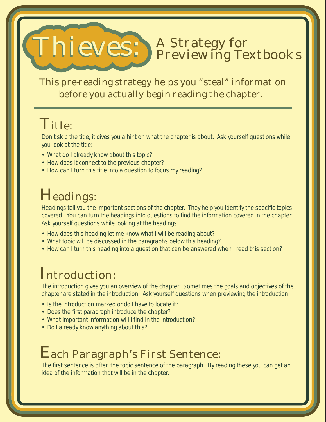#### Thieves: A Strategy for Previewing Textbooks

This pre-reading strategy helps you "steal" information before you actually begin reading the chapter.

# Title:

Don't skip the title, it gives you a hint on what the chapter is about. Ask yourself questions while you look at the title:

- What do I already know about this topic?
- How does it connect to the previous chapter?
- How can I turn this title into a question to focus my reading?

## Headings:

Headings tell you the important sections of the chapter. They help you identify the specific topics covered. You can turn the headings into questions to find the information covered in the chapter. Ask yourself questions while looking at the headings.

- How does this heading let me know what I will be reading about?
- What topic will be discussed in the paragraphs below this heading?
- How can I turn this heading into a question that can be answered when I read this section?

## Introduction:

The introduction gives you an overview of the chapter. Sometimes the goals and objectives of the chapter are stated in the introduction. Ask yourself questions when previewing the introduction.

- Is the introduction marked or do I have to locate it?
- Does the first paragraph introduce the chapter?
- What important information will I find in the introduction?
- Do I already know anything about this?

#### Each Paragraph's First Sentence:

The first sentence is often the topic sentence of the paragraph. By reading these you can get an idea of the information that will be in the chapter.